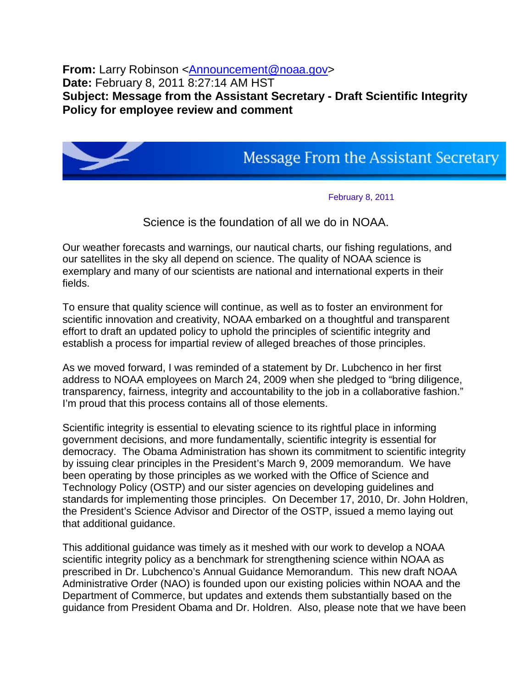**From:** Larry Robinson <**Announcement@noaa.gov> Date:** February 8, 2011 8:27:14 AM HST **Subject: Message from the Assistant Secretary - Draft Scientific Integrity Policy for employee review and comment**



## **Message From the Assistant Secretary**

February 8, 2011

## Science is the foundation of all we do in NOAA.

Our weather forecasts and warnings, our nautical charts, our fishing regulations, and our satellites in the sky all depend on science. The quality of NOAA science is exemplary and many of our scientists are national and international experts in their fields.

To ensure that quality science will continue, as well as to foster an environment for scientific innovation and creativity, NOAA embarked on a thoughtful and transparent effort to draft an updated policy to uphold the principles of scientific integrity and establish a process for impartial review of alleged breaches of those principles.

As we moved forward, I was reminded of a statement by Dr. Lubchenco in her first address to NOAA employees on March 24, 2009 when she pledged to "bring diligence, transparency, fairness, integrity and accountability to the job in a collaborative fashion." I'm proud that this process contains all of those elements.

Scientific integrity is essential to elevating science to its rightful place in informing government decisions, and more fundamentally, scientific integrity is essential for democracy. The Obama Administration has shown its commitment to scientific integrity by issuing clear principles in the President's March 9, 2009 memorandum. We have been operating by those principles as we worked with the Office of Science and Technology Policy (OSTP) and our sister agencies on developing guidelines and standards for implementing those principles. On December 17, 2010, Dr. John Holdren, the President's Science Advisor and Director of the OSTP, issued a memo laying out that additional guidance.

This additional guidance was timely as it meshed with our work to develop a NOAA scientific integrity policy as a benchmark for strengthening science within NOAA as prescribed in Dr. Lubchenco's Annual Guidance Memorandum. This new draft NOAA Administrative Order (NAO) is founded upon our existing policies within NOAA and the Department of Commerce, but updates and extends them substantially based on the guidance from President Obama and Dr. Holdren. Also, please note that we have been